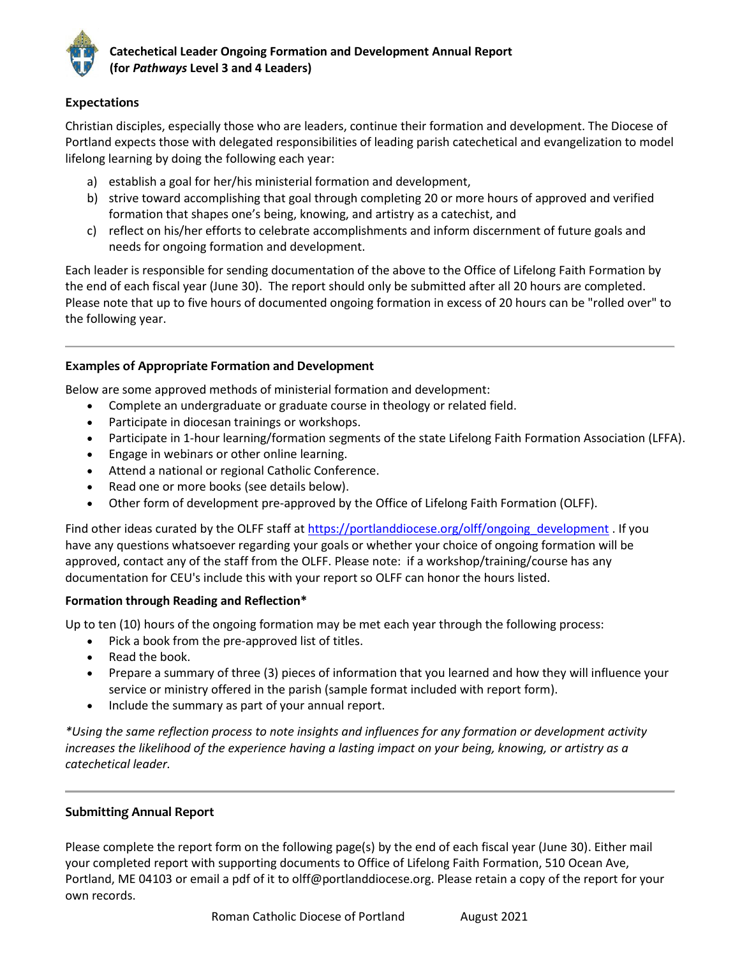

# **Expectations**

Christian disciples, especially those who are leaders, continue their formation and development. The Diocese of Portland expects those with delegated responsibilities of leading parish catechetical and evangelization to model lifelong learning by doing the following each year:

- a) establish a goal for her/his ministerial formation and development,
- b) strive toward accomplishing that goal through completing 20 or more hours of approved and verified formation that shapes one's being, knowing, and artistry as a catechist, and
- c) reflect on his/her efforts to celebrate accomplishments and inform discernment of future goals and needs for ongoing formation and development.

Each leader is responsible for sending documentation of the above to the Office of Lifelong Faith Formation by the end of each fiscal year (June 30). The report should only be submitted after all 20 hours are completed. Please note that up to five hours of documented ongoing formation in excess of 20 hours can be "rolled over" to the following year.

# **Examples of Appropriate Formation and Development**

Below are some approved methods of ministerial formation and development:

- Complete an undergraduate or graduate course in theology or related field.
- Participate in diocesan trainings or workshops.
- Participate in 1-hour learning/formation segments of the state Lifelong Faith Formation Association (LFFA).
- Engage in webinars or other online learning.
- Attend a national or regional Catholic Conference.
- Read one or more books (see details below).
- Other form of development pre-approved by the Office of Lifelong Faith Formation (OLFF).

Find other ideas curated by the OLFF staff a[t https://portlanddiocese.org/olff/ongoing\\_development](https://portlanddiocese.org/olff/ongoing_development) . If you have any questions whatsoever regarding your goals or whether your choice of ongoing formation will be approved, contact any of the staff from the OLFF. Please note: if a workshop/training/course has any documentation for CEU's include this with your report so OLFF can honor the hours listed.

### **Formation through Reading and Reflection\***

Up to ten (10) hours of the ongoing formation may be met each year through the following process:

- Pick a book from the pre-approved list of titles.
- Read the book.
- Prepare a summary of three (3) pieces of information that you learned and how they will influence your service or ministry offered in the parish (sample format included with report form).
- Include the summary as part of your annual report.

*\*Using the same reflection process to note insights and influences for any formation or development activity increases the likelihood of the experience having a lasting impact on your being, knowing, or artistry as a catechetical leader.*

### **Submitting Annual Report**

Please complete the report form on the following page(s) by the end of each fiscal year (June 30). Either mail your completed report with supporting documents to Office of Lifelong Faith Formation, 510 Ocean Ave, Portland, ME 04103 or email a pdf of it to olff@portlanddiocese.org. Please retain a copy of the report for your own records.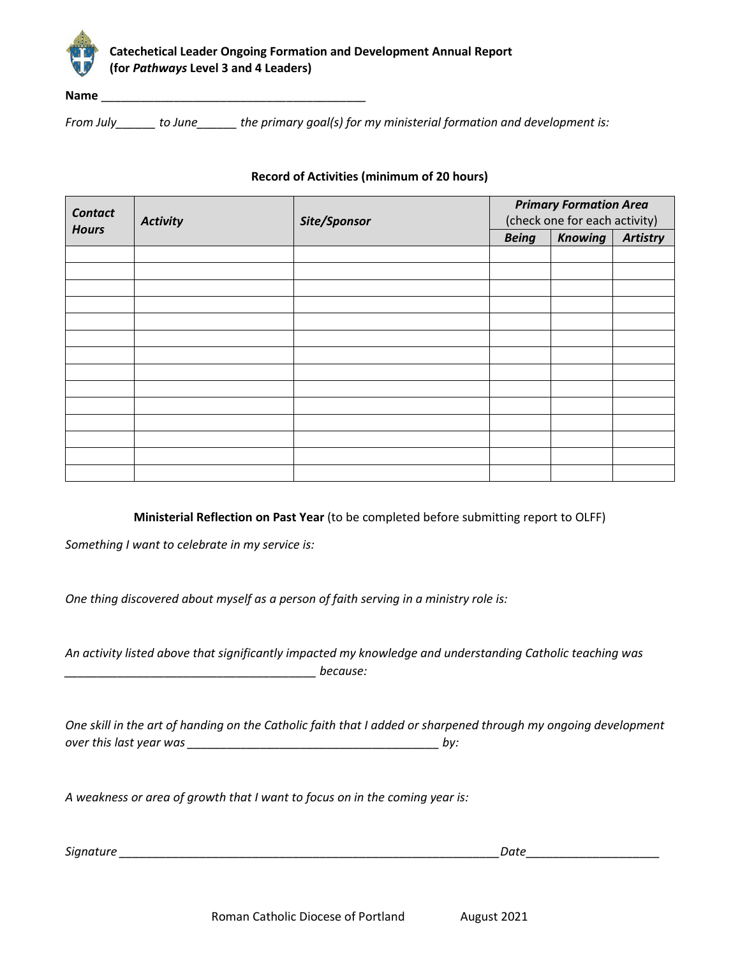

# **Catechetical Leader Ongoing Formation and Development Annual Report (for** *Pathways* **Level 3 and 4 Leaders)**

**Name**  $\frac{1}{2}$ 

*From July\_\_\_\_\_\_ to June\_\_\_\_\_\_ the primary goal(s) for my ministerial formation and development is:*

#### **Record of Activities (minimum of 20 hours)**

| <b>Contact</b><br><b>Hours</b> | <b>Activity</b> | Site/Sponsor | <b>Primary Formation Area</b> |                |                 |
|--------------------------------|-----------------|--------------|-------------------------------|----------------|-----------------|
|                                |                 |              | (check one for each activity) |                |                 |
|                                |                 |              | <b>Being</b>                  | <b>Knowing</b> | <b>Artistry</b> |
|                                |                 |              |                               |                |                 |
|                                |                 |              |                               |                |                 |
|                                |                 |              |                               |                |                 |
|                                |                 |              |                               |                |                 |
|                                |                 |              |                               |                |                 |
|                                |                 |              |                               |                |                 |
|                                |                 |              |                               |                |                 |
|                                |                 |              |                               |                |                 |
|                                |                 |              |                               |                |                 |
|                                |                 |              |                               |                |                 |
|                                |                 |              |                               |                |                 |
|                                |                 |              |                               |                |                 |
|                                |                 |              |                               |                |                 |
|                                |                 |              |                               |                |                 |

**Ministerial Reflection on Past Year** (to be completed before submitting report to OLFF)

*Something I want to celebrate in my service is:* 

*One thing discovered about myself as a person of faith serving in a ministry role is:*

*An activity listed above that significantly impacted my knowledge and understanding Catholic teaching was \_\_\_\_\_\_\_\_\_\_\_\_\_\_\_\_\_\_\_\_\_\_\_\_\_\_\_\_\_\_\_\_\_\_\_\_\_\_ because:*

*One skill in the art of handing on the Catholic faith that I added or sharpened through my ongoing development over this last year was \_\_\_\_\_\_\_\_\_\_\_\_\_\_\_\_\_\_\_\_\_\_\_\_\_\_\_\_\_\_\_\_\_\_\_\_\_\_ by:*

*A weakness or area of growth that I want to focus on in the coming year is:* 

*Signature \_\_\_\_\_\_\_\_\_\_\_\_\_\_\_\_\_\_\_\_\_\_\_\_\_\_\_\_\_\_\_\_\_\_\_\_\_\_\_\_\_\_\_\_\_\_\_\_\_\_\_\_\_\_\_\_\_Date\_\_\_\_\_\_\_\_\_\_\_\_\_\_\_\_\_\_\_\_*